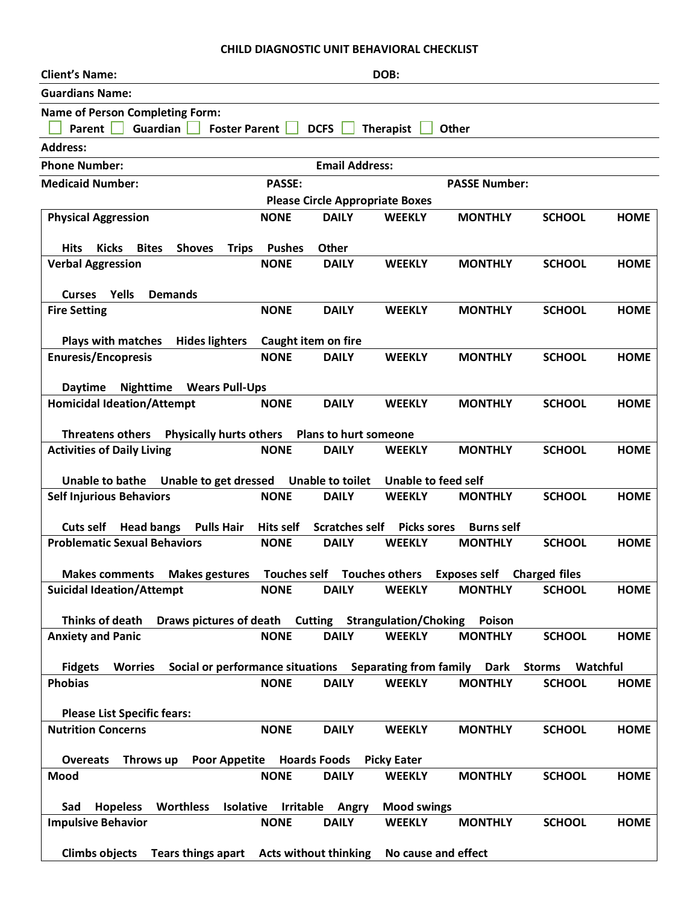## **CHILD DIAGNOSTIC UNIT BEHAVIORAL CHECKLIST**

| <b>Client's Name:</b>                                                                                                                   | DOB:                                   |                             |                                     |                                   |               |             |  |  |  |  |  |
|-----------------------------------------------------------------------------------------------------------------------------------------|----------------------------------------|-----------------------------|-------------------------------------|-----------------------------------|---------------|-------------|--|--|--|--|--|
| <b>Guardians Name:</b>                                                                                                                  |                                        |                             |                                     |                                   |               |             |  |  |  |  |  |
| <b>Name of Person Completing Form:</b>                                                                                                  |                                        |                             |                                     |                                   |               |             |  |  |  |  |  |
| Parent  <br>Guardian<br><b>Foster Parent</b><br>DCFS<br>Therapist<br>Other                                                              |                                        |                             |                                     |                                   |               |             |  |  |  |  |  |
| <b>Address:</b>                                                                                                                         |                                        |                             |                                     |                                   |               |             |  |  |  |  |  |
| <b>Phone Number:</b>                                                                                                                    |                                        | <b>Email Address:</b>       |                                     |                                   |               |             |  |  |  |  |  |
| <b>Medicaid Number:</b>                                                                                                                 | <b>PASSE:</b>                          |                             |                                     | <b>PASSE Number:</b>              |               |             |  |  |  |  |  |
|                                                                                                                                         | <b>Please Circle Appropriate Boxes</b> |                             |                                     |                                   |               |             |  |  |  |  |  |
| <b>Physical Aggression</b>                                                                                                              | <b>NONE</b>                            | <b>DAILY</b>                | <b>WEEKLY</b>                       | <b>MONTHLY</b>                    | <b>SCHOOL</b> | <b>HOME</b> |  |  |  |  |  |
| <b>Hits</b><br><b>Kicks</b><br><b>Bites</b><br><b>Shoves</b>                                                                            | <b>Pushes</b>                          | Other                       |                                     |                                   |               |             |  |  |  |  |  |
| <b>Trips</b><br><b>Verbal Aggression</b>                                                                                                | <b>NONE</b>                            | <b>DAILY</b>                | <b>WEEKLY</b>                       | <b>MONTHLY</b>                    | <b>SCHOOL</b> | <b>HOME</b> |  |  |  |  |  |
|                                                                                                                                         |                                        |                             |                                     |                                   |               |             |  |  |  |  |  |
| Yells<br><b>Demands</b><br><b>Curses</b>                                                                                                |                                        |                             |                                     |                                   |               |             |  |  |  |  |  |
| <b>Fire Setting</b>                                                                                                                     | <b>NONE</b>                            | <b>DAILY</b>                | <b>WEEKLY</b>                       | <b>MONTHLY</b>                    | <b>SCHOOL</b> | <b>HOME</b> |  |  |  |  |  |
|                                                                                                                                         |                                        |                             |                                     |                                   |               |             |  |  |  |  |  |
| <b>Plays with matches</b><br><b>Hides lighters</b><br><b>Enuresis/Encopresis</b>                                                        | Caught item on fire<br><b>NONE</b>     | <b>DAILY</b>                | <b>WEEKLY</b>                       | <b>MONTHLY</b>                    | <b>SCHOOL</b> | <b>HOME</b> |  |  |  |  |  |
|                                                                                                                                         |                                        |                             |                                     |                                   |               |             |  |  |  |  |  |
| <b>Daytime</b><br><b>Nighttime</b><br><b>Wears Pull-Ups</b>                                                                             |                                        |                             |                                     |                                   |               |             |  |  |  |  |  |
| <b>Homicidal Ideation/Attempt</b>                                                                                                       | <b>NONE</b>                            | <b>DAILY</b>                | <b>WEEKLY</b>                       | <b>MONTHLY</b>                    | <b>SCHOOL</b> | <b>HOME</b> |  |  |  |  |  |
|                                                                                                                                         |                                        |                             |                                     |                                   |               |             |  |  |  |  |  |
| Physically hurts others  Plans to hurt someone<br><b>Threatens others</b>                                                               |                                        |                             |                                     |                                   |               |             |  |  |  |  |  |
| <b>Activities of Daily Living</b>                                                                                                       | <b>NONE</b>                            | <b>DAILY</b>                | <b>WEEKLY</b>                       | <b>MONTHLY</b>                    | <b>SCHOOL</b> | <b>HOME</b> |  |  |  |  |  |
| <b>Unable to get dressed</b><br><b>Unable to toilet</b><br><b>Unable to feed self</b><br><b>Unable to bathe</b>                         |                                        |                             |                                     |                                   |               |             |  |  |  |  |  |
| <b>Self Injurious Behaviors</b>                                                                                                         | <b>NONE</b>                            | <b>DAILY</b>                | <b>WEEKLY</b>                       | <b>MONTHLY</b>                    | <b>SCHOOL</b> | <b>HOME</b> |  |  |  |  |  |
|                                                                                                                                         |                                        |                             |                                     |                                   |               |             |  |  |  |  |  |
| <b>Head bangs</b><br><b>Pulls Hair</b><br><b>Cuts self</b>                                                                              | Hits self                              | <b>Scratches self</b>       | <b>Picks sores</b>                  | <b>Burns self</b>                 |               |             |  |  |  |  |  |
| <b>Problematic Sexual Behaviors</b>                                                                                                     | <b>NONE</b>                            | <b>DAILY</b>                | <b>WEEKLY</b>                       | <b>MONTHLY</b>                    | <b>SCHOOL</b> | <b>HOME</b> |  |  |  |  |  |
| <b>Makes gestures</b><br><b>Makes comments</b>                                                                                          |                                        | Touches self Touches others |                                     | <b>Exposes self</b> Charged files |               |             |  |  |  |  |  |
| <b>Suicidal Ideation/Attempt</b>                                                                                                        | <b>NONE</b>                            | <b>DAILY</b>                | <b>WEEKLY</b>                       | <b>MONTHLY</b>                    | <b>SCHOOL</b> | <b>HOME</b> |  |  |  |  |  |
|                                                                                                                                         |                                        |                             |                                     |                                   |               |             |  |  |  |  |  |
| Thinks of death<br>Draws pictures of death Cutting Strangulation/Choking                                                                |                                        |                             |                                     | Poison                            |               |             |  |  |  |  |  |
| <b>Anxiety and Panic</b>                                                                                                                | <b>NONE</b>                            | <b>DAILY</b>                | <b>WEEKLY</b>                       | <b>MONTHLY</b>                    | <b>SCHOOL</b> | <b>HOME</b> |  |  |  |  |  |
| Social or performance situations Separating from family<br><b>Fidgets</b><br><b>Worries</b><br><b>Dark</b><br><b>Storms</b><br>Watchful |                                        |                             |                                     |                                   |               |             |  |  |  |  |  |
| <b>Phobias</b>                                                                                                                          | <b>NONE</b>                            | <b>DAILY</b>                | <b>WEEKLY</b>                       | <b>MONTHLY</b>                    | <b>SCHOOL</b> | <b>HOME</b> |  |  |  |  |  |
|                                                                                                                                         |                                        |                             |                                     |                                   |               |             |  |  |  |  |  |
| <b>Please List Specific fears:</b>                                                                                                      |                                        |                             |                                     |                                   |               |             |  |  |  |  |  |
| <b>Nutrition Concerns</b>                                                                                                               | <b>NONE</b>                            | <b>DAILY</b>                | <b>WEEKLY</b>                       | <b>MONTHLY</b>                    | <b>SCHOOL</b> | <b>HOME</b> |  |  |  |  |  |
|                                                                                                                                         |                                        |                             |                                     |                                   |               |             |  |  |  |  |  |
| Throws up<br><b>Poor Appetite Hoards Foods</b><br><b>Overeats</b><br>Mood                                                               | <b>NONE</b>                            | <b>DAILY</b>                | <b>Picky Eater</b><br><b>WEEKLY</b> | <b>MONTHLY</b>                    | <b>SCHOOL</b> | <b>HOME</b> |  |  |  |  |  |
|                                                                                                                                         |                                        |                             |                                     |                                   |               |             |  |  |  |  |  |
| Isolative<br><b>Hopeless</b><br><b>Worthless</b><br>Sad                                                                                 |                                        | Irritable Angry             | <b>Mood swings</b>                  |                                   |               |             |  |  |  |  |  |
| <b>Impulsive Behavior</b>                                                                                                               | <b>NONE</b>                            | <b>DAILY</b>                | <b>WEEKLY</b>                       | <b>MONTHLY</b>                    | <b>SCHOOL</b> | <b>HOME</b> |  |  |  |  |  |
|                                                                                                                                         |                                        |                             |                                     |                                   |               |             |  |  |  |  |  |
| <b>Climbs objects</b><br>Tears things apart Acts without thinking                                                                       |                                        |                             | No cause and effect                 |                                   |               |             |  |  |  |  |  |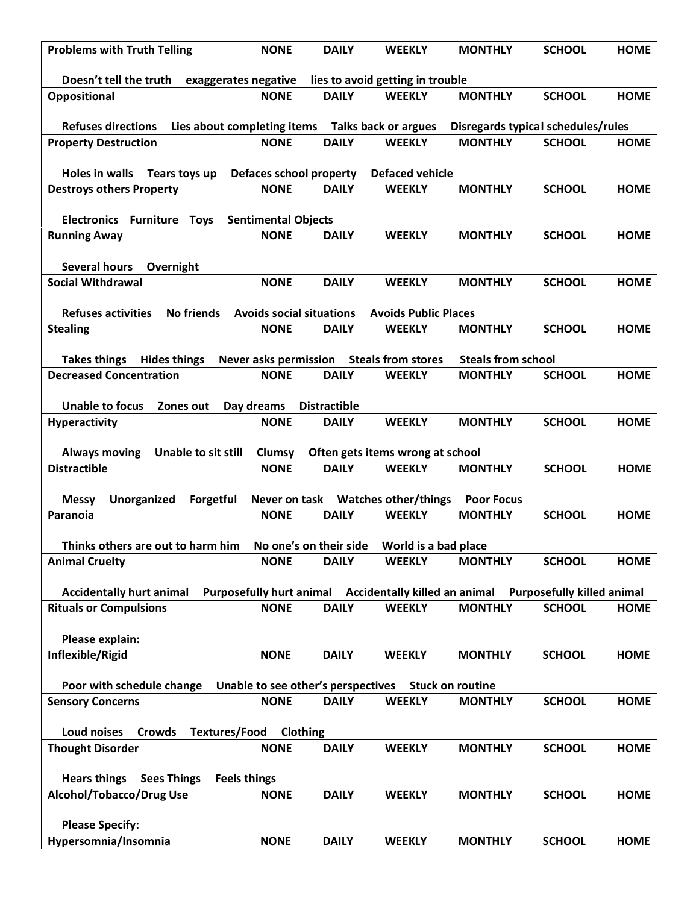| <b>Problems with Truth Telling</b>                                                                               | <b>NONE</b>                                    | <b>DAILY</b>                       | <b>WEEKLY</b>                                         | <b>MONTHLY</b>                              | <b>SCHOOL</b>                                      | <b>HOME</b> |  |  |  |  |
|------------------------------------------------------------------------------------------------------------------|------------------------------------------------|------------------------------------|-------------------------------------------------------|---------------------------------------------|----------------------------------------------------|-------------|--|--|--|--|
| Doesn't tell the truth<br>exaggerates negative<br>lies to avoid getting in trouble                               |                                                |                                    |                                                       |                                             |                                                    |             |  |  |  |  |
| Oppositional                                                                                                     | <b>NONE</b>                                    | <b>DAILY</b>                       | <b>WEEKLY</b>                                         | <b>MONTHLY</b>                              | <b>SCHOOL</b>                                      | <b>HOME</b> |  |  |  |  |
|                                                                                                                  |                                                |                                    |                                                       |                                             |                                                    |             |  |  |  |  |
| Lies about completing items<br><b>Refuses directions</b>                                                         |                                                |                                    | Talks back or argues                                  | Disregards typical schedules/rules          |                                                    |             |  |  |  |  |
| <b>Property Destruction</b>                                                                                      | <b>NONE</b>                                    | <b>DAILY</b>                       | <b>WEEKLY</b>                                         | <b>MONTHLY</b>                              | <b>SCHOOL</b>                                      | <b>HOME</b> |  |  |  |  |
| <b>Holes in walls</b><br>Tears toys up                                                                           | <b>Defaces school property</b>                 |                                    | <b>Defaced vehicle</b>                                |                                             |                                                    |             |  |  |  |  |
| <b>Destroys others Property</b>                                                                                  | <b>NONE</b>                                    | <b>DAILY</b>                       | <b>WEEKLY</b>                                         | <b>MONTHLY</b>                              | <b>SCHOOL</b>                                      | <b>HOME</b> |  |  |  |  |
| <b>Electronics</b><br><b>Furniture</b><br><b>Sentimental Objects</b><br><b>Toys</b>                              |                                                |                                    |                                                       |                                             |                                                    |             |  |  |  |  |
| <b>Running Away</b>                                                                                              | <b>NONE</b>                                    | <b>DAILY</b>                       | <b>WEEKLY</b>                                         | <b>MONTHLY</b>                              | <b>SCHOOL</b>                                      | <b>HOME</b> |  |  |  |  |
|                                                                                                                  |                                                |                                    |                                                       |                                             |                                                    |             |  |  |  |  |
| <b>Several hours</b><br>Overnight                                                                                |                                                |                                    |                                                       |                                             |                                                    |             |  |  |  |  |
| <b>Social Withdrawal</b>                                                                                         | <b>NONE</b>                                    | <b>DAILY</b>                       | <b>WEEKLY</b>                                         | <b>MONTHLY</b>                              | <b>SCHOOL</b>                                      | <b>HOME</b> |  |  |  |  |
| <b>Refuses activities</b><br><b>No friends</b><br><b>Avoids social situations</b><br><b>Avoids Public Places</b> |                                                |                                    |                                                       |                                             |                                                    |             |  |  |  |  |
| <b>Stealing</b>                                                                                                  | <b>NONE</b>                                    | <b>DAILY</b>                       | <b>WEEKLY</b>                                         | <b>MONTHLY</b>                              | <b>SCHOOL</b>                                      | <b>HOME</b> |  |  |  |  |
|                                                                                                                  |                                                |                                    |                                                       |                                             |                                                    |             |  |  |  |  |
| <b>Hides things</b><br><b>Takes things</b><br><b>Decreased Concentration</b>                                     | <b>Never asks permission</b><br><b>NONE</b>    | <b>DAILY</b>                       | <b>Steals from stores</b><br><b>WEEKLY</b>            | <b>Steals from school</b><br><b>MONTHLY</b> | <b>SCHOOL</b>                                      | <b>HOME</b> |  |  |  |  |
|                                                                                                                  |                                                |                                    |                                                       |                                             |                                                    |             |  |  |  |  |
| <b>Unable to focus</b><br>Zones out                                                                              | Day dreams                                     | <b>Distractible</b>                |                                                       |                                             |                                                    |             |  |  |  |  |
| <b>Hyperactivity</b>                                                                                             | <b>NONE</b>                                    | <b>DAILY</b>                       | <b>WEEKLY</b>                                         | <b>MONTHLY</b>                              | <b>SCHOOL</b>                                      | <b>HOME</b> |  |  |  |  |
| <b>Unable to sit still</b><br>Often gets items wrong at school                                                   |                                                |                                    |                                                       |                                             |                                                    |             |  |  |  |  |
| <b>Always moving</b><br><b>Distractible</b>                                                                      | Clumsy<br><b>NONE</b>                          | <b>DAILY</b>                       | <b>WEEKLY</b>                                         | <b>MONTHLY</b>                              | <b>SCHOOL</b>                                      | <b>HOME</b> |  |  |  |  |
|                                                                                                                  |                                                |                                    |                                                       |                                             |                                                    |             |  |  |  |  |
| Forgetful<br><b>Unorganized</b><br><b>Messy</b>                                                                  |                                                |                                    | Never on task Watches other/things                    | <b>Poor Focus</b>                           |                                                    |             |  |  |  |  |
| Paranoia                                                                                                         | <b>NONE</b>                                    | <b>DAILY</b>                       | <b>WEEKLY</b>                                         | <b>MONTHLY</b>                              | <b>SCHOOL</b>                                      | <b>HOME</b> |  |  |  |  |
| Thinks others are out to harm him                                                                                |                                                |                                    |                                                       |                                             |                                                    |             |  |  |  |  |
| <b>Animal Cruelty</b>                                                                                            | <b>NONE</b>                                    | <b>DAILY</b>                       | <b>WEEKLY</b>                                         | <b>MONTHLY</b>                              | <b>SCHOOL</b>                                      | <b>HOME</b> |  |  |  |  |
|                                                                                                                  |                                                |                                    |                                                       |                                             |                                                    |             |  |  |  |  |
| <b>Accidentally hurt animal</b><br><b>Rituals or Compulsions</b>                                                 | <b>Purposefully hurt animal</b><br><b>NONE</b> | <b>DAILY</b>                       | <b>Accidentally killed an animal</b><br><b>WEEKLY</b> | <b>MONTHLY</b>                              | <b>Purposefully killed animal</b><br><b>SCHOOL</b> | <b>HOME</b> |  |  |  |  |
|                                                                                                                  |                                                |                                    |                                                       |                                             |                                                    |             |  |  |  |  |
| Please explain:                                                                                                  |                                                |                                    |                                                       |                                             |                                                    |             |  |  |  |  |
| Inflexible/Rigid                                                                                                 | <b>NONE</b>                                    | <b>DAILY</b>                       | <b>WEEKLY</b>                                         | <b>MONTHLY</b>                              | <b>SCHOOL</b>                                      | <b>HOME</b> |  |  |  |  |
|                                                                                                                  |                                                | Unable to see other's perspectives |                                                       | <b>Stuck on routine</b>                     |                                                    |             |  |  |  |  |
| Poor with schedule change<br><b>Sensory Concerns</b>                                                             | <b>NONE</b>                                    | <b>DAILY</b>                       | <b>WEEKLY</b>                                         | <b>MONTHLY</b>                              | <b>SCHOOL</b>                                      | <b>HOME</b> |  |  |  |  |
|                                                                                                                  |                                                |                                    |                                                       |                                             |                                                    |             |  |  |  |  |
| <b>Loud noises</b><br><b>Crowds</b><br><b>Textures/Food</b>                                                      | <b>Clothing</b>                                |                                    |                                                       |                                             |                                                    |             |  |  |  |  |
| <b>Thought Disorder</b>                                                                                          | <b>NONE</b>                                    | <b>DAILY</b>                       | <b>WEEKLY</b>                                         | <b>MONTHLY</b>                              | <b>SCHOOL</b>                                      | <b>HOME</b> |  |  |  |  |
| <b>Hears things</b><br><b>Sees Things</b><br><b>Feels things</b>                                                 |                                                |                                    |                                                       |                                             |                                                    |             |  |  |  |  |
| Alcohol/Tobacco/Drug Use                                                                                         | <b>NONE</b>                                    | <b>DAILY</b>                       | <b>WEEKLY</b>                                         | <b>MONTHLY</b>                              | <b>SCHOOL</b>                                      | <b>HOME</b> |  |  |  |  |
|                                                                                                                  |                                                |                                    |                                                       |                                             |                                                    |             |  |  |  |  |
| <b>Please Specify:</b>                                                                                           |                                                |                                    |                                                       |                                             |                                                    |             |  |  |  |  |
| Hypersomnia/Insomnia                                                                                             | <b>NONE</b>                                    | <b>DAILY</b>                       | <b>WEEKLY</b>                                         | <b>MONTHLY</b>                              | <b>SCHOOL</b>                                      | <b>HOME</b> |  |  |  |  |